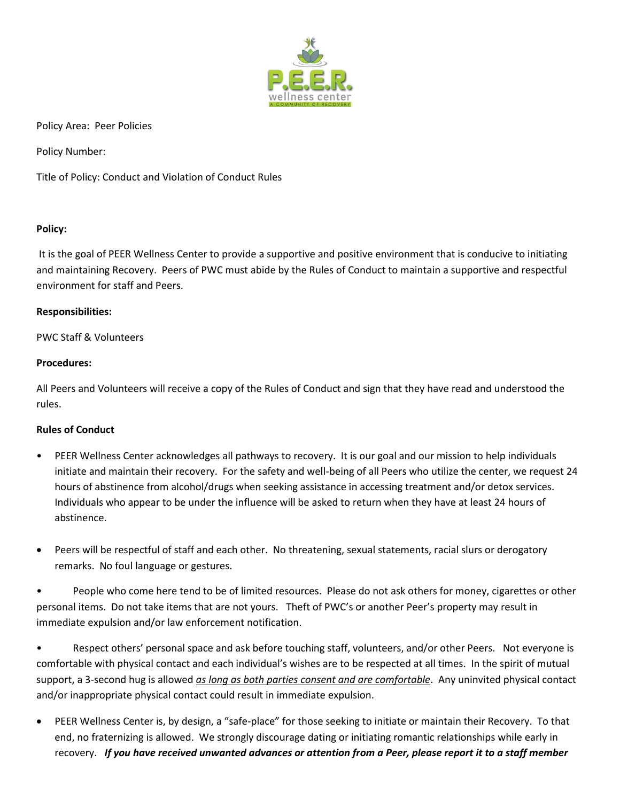

Policy Area: Peer Policies

Policy Number:

Title of Policy: Conduct and Violation of Conduct Rules

# **Policy:**

It is the goal of PEER Wellness Center to provide a supportive and positive environment that is conducive to initiating and maintaining Recovery. Peers of PWC must abide by the Rules of Conduct to maintain a supportive and respectful environment for staff and Peers.

## **Responsibilities:**

# PWC Staff & Volunteers

## **Procedures:**

All Peers and Volunteers will receive a copy of the Rules of Conduct and sign that they have read and understood the rules.

# **Rules of Conduct**

- PEER Wellness Center acknowledges all pathways to recovery. It is our goal and our mission to help individuals initiate and maintain their recovery. For the safety and well-being of all Peers who utilize the center, we request 24 hours of abstinence from alcohol/drugs when seeking assistance in accessing treatment and/or detox services. Individuals who appear to be under the influence will be asked to return when they have at least 24 hours of abstinence.
- Peers will be respectful of staff and each other. No threatening, sexual statements, racial slurs or derogatory remarks. No foul language or gestures.

• People who come here tend to be of limited resources. Please do not ask others for money, cigarettes or other personal items. Do not take items that are not yours. Theft of PWC's or another Peer's property may result in immediate expulsion and/or law enforcement notification.

• Respect others' personal space and ask before touching staff, volunteers, and/or other Peers. Not everyone is comfortable with physical contact and each individual's wishes are to be respected at all times. In the spirit of mutual support, a 3-second hug is allowed *as long as both parties consent and are comfortable*. Any uninvited physical contact and/or inappropriate physical contact could result in immediate expulsion.

 PEER Wellness Center is, by design, a "safe-place" for those seeking to initiate or maintain their Recovery. To that end, no fraternizing is allowed. We strongly discourage dating or initiating romantic relationships while early in recovery. *If you have received unwanted advances or attention from a Peer, please report it to a staff member*